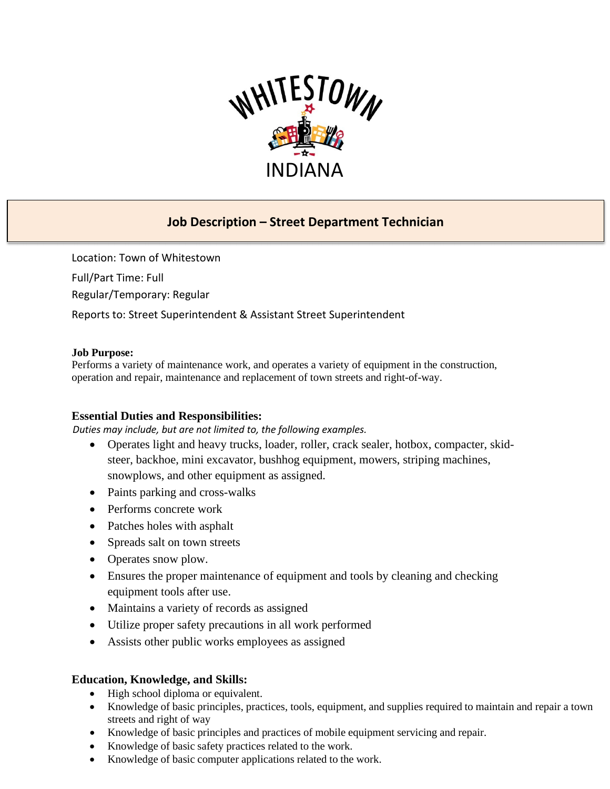

# **Job Description – Street Department Technician**

Location: Town of Whitestown Full/Part Time: Full Regular/Temporary: Regular Reports to: Street Superintendent & Assistant Street Superintendent

#### **Job Purpose:**

Performs a variety of maintenance work, and operates a variety of equipment in the construction, operation and repair, maintenance and replacement of town streets and right-of-way.

## **Essential Duties and Responsibilities:**

 *Duties may include, but are not limited to, the following examples.*

- Operates light and heavy trucks, loader, roller, crack sealer, hotbox, compacter, skidsteer, backhoe, mini excavator, bushhog equipment, mowers, striping machines, snowplows, and other equipment as assigned.
- Paints parking and cross-walks
- Performs concrete work
- Patches holes with asphalt
- Spreads salt on town streets
- Operates snow plow.
- Ensures the proper maintenance of equipment and tools by cleaning and checking equipment tools after use.
- Maintains a variety of records as assigned
- Utilize proper safety precautions in all work performed
- Assists other public works employees as assigned

## **Education, Knowledge, and Skills:**

- High school diploma or equivalent.
- Knowledge of basic principles, practices, tools, equipment, and supplies required to maintain and repair a town streets and right of way
- Knowledge of basic principles and practices of mobile equipment servicing and repair.
- Knowledge of basic safety practices related to the work.
- Knowledge of basic computer applications related to the work.